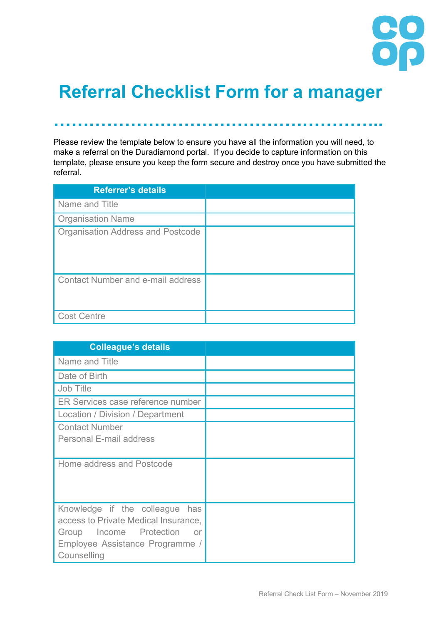

## **Referral Checklist Form for a manager**

**………………………………………………..**

Please review the template below to ensure you have all the information you will need, to make a referral on the Duradiamond portal. If you decide to capture information on this template, please ensure you keep the form secure and destroy once you have submitted the referral.

| <b>Referrer's details</b>                |  |
|------------------------------------------|--|
| Name and Title                           |  |
| <b>Organisation Name</b>                 |  |
| <b>Organisation Address and Postcode</b> |  |
| Contact Number and e-mail address        |  |
| <b>Cost Centre</b>                       |  |

| <b>Colleague's details</b>           |  |
|--------------------------------------|--|
| Name and Title                       |  |
| Date of Birth                        |  |
| <b>Job Title</b>                     |  |
| ER Services case reference number    |  |
| Location / Division / Department     |  |
| <b>Contact Number</b>                |  |
| Personal E-mail address              |  |
|                                      |  |
| Home address and Postcode            |  |
|                                      |  |
|                                      |  |
| Knowledge if the colleague has       |  |
| access to Private Medical Insurance, |  |
| Income Protection<br>Group<br>or     |  |
| Employee Assistance Programme /      |  |
| Counselling                          |  |